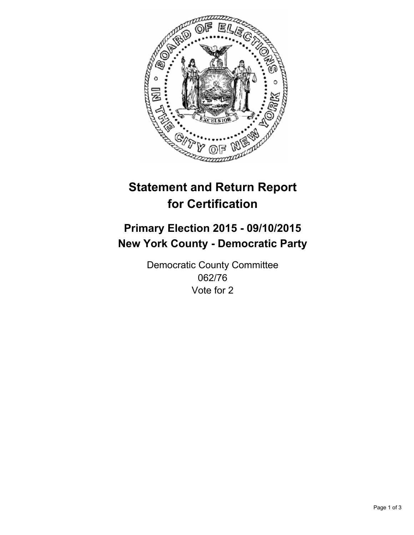

# **Statement and Return Report for Certification**

## **Primary Election 2015 - 09/10/2015 New York County - Democratic Party**

Democratic County Committee 062/76 Vote for 2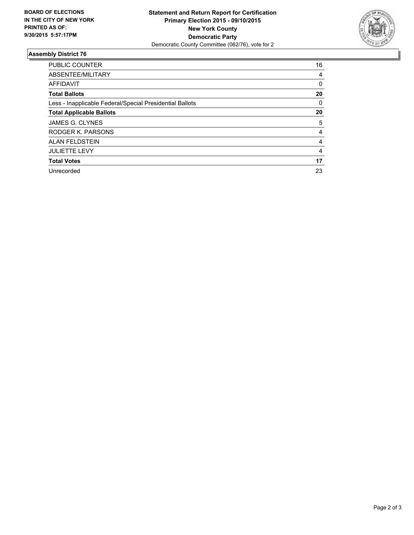

### **Assembly District 76**

| <b>PUBLIC COUNTER</b>                                    | 16 |
|----------------------------------------------------------|----|
| ABSENTEE/MILITARY                                        | 4  |
| <b>AFFIDAVIT</b>                                         | 0  |
| <b>Total Ballots</b>                                     | 20 |
| Less - Inapplicable Federal/Special Presidential Ballots | 0  |
| <b>Total Applicable Ballots</b>                          | 20 |
| JAMES G. CLYNES                                          | 5  |
| RODGER K. PARSONS                                        | 4  |
| <b>ALAN FELDSTEIN</b>                                    | 4  |
| <b>JULIETTE LEVY</b>                                     | 4  |
| <b>Total Votes</b>                                       | 17 |
| Unrecorded                                               | 23 |